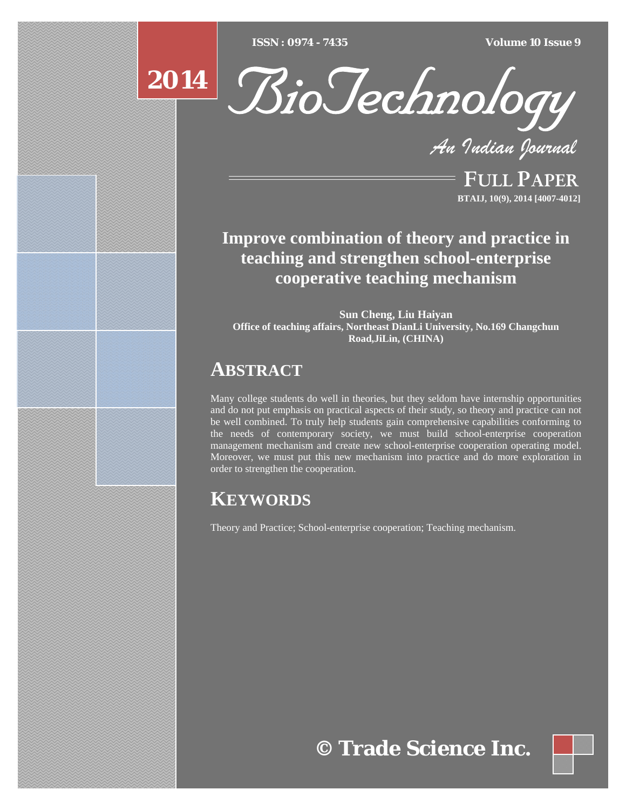[Type text] [Type text] [Type text] *ISSN : 0974 - 7435 Volume 10 Issue 9*

# **2014**



*An Indian Journal*

FULL PAPER **BTAIJ, 10(9), 2014 [4007-4012]**

# **Improve combination of theory and practice in teaching and strengthen school-enterprise cooperative teaching mechanism**

**Sun Cheng, Liu Haiyan Office of teaching affairs, Northeast DianLi University, No.169 Changchun Road,JiLin, (CHINA)**

# **ABSTRACT**

Many college students do well in theories, but they seldom have internship opportunities and do not put emphasis on practical aspects of their study, so theory and practice can not be well combined. To truly help students gain comprehensive capabilities conforming to the needs of contemporary society, we must build school-enterprise cooperation management mechanism and create new school-enterprise cooperation operating model. Moreover, we must put this new mechanism into practice and do more exploration in order to strengthen the cooperation.

# **KEYWORDS**

Theory and Practice; School-enterprise cooperation; Teaching mechanism.

**© Trade Science Inc.**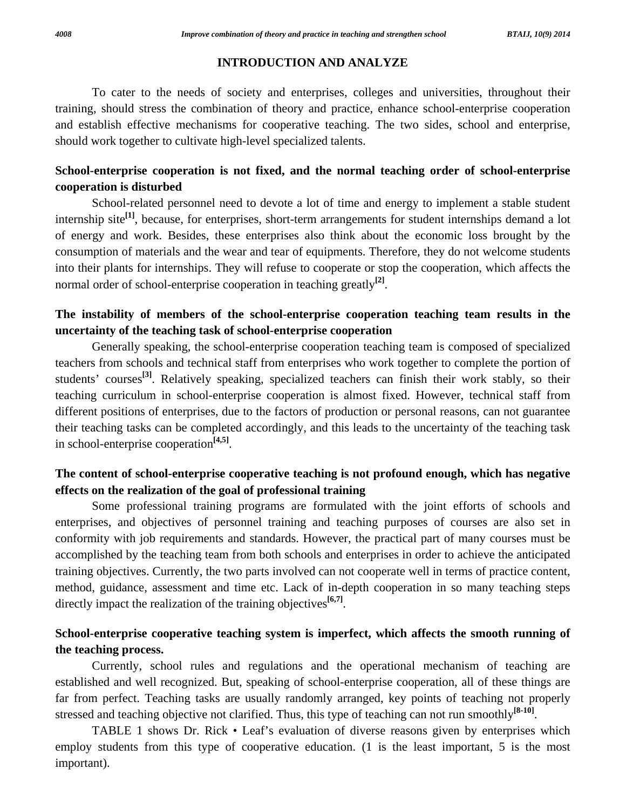#### **INTRODUCTION AND ANALYZE**

 To cater to the needs of society and enterprises, colleges and universities, throughout their training, should stress the combination of theory and practice, enhance school-enterprise cooperation and establish effective mechanisms for cooperative teaching. The two sides, school and enterprise, should work together to cultivate high-level specialized talents.

# **School-enterprise cooperation is not fixed, and the normal teaching order of school-enterprise cooperation is disturbed**

 School-related personnel need to devote a lot of time and energy to implement a stable student internship site**[1]**, because, for enterprises, short-term arrangements for student internships demand a lot of energy and work. Besides, these enterprises also think about the economic loss brought by the consumption of materials and the wear and tear of equipments. Therefore, they do not welcome students into their plants for internships. They will refuse to cooperate or stop the cooperation, which affects the normal order of school-enterprise cooperation in teaching greatly<sup>[2]</sup>.

# **The instability of members of the school-enterprise cooperation teaching team results in the uncertainty of the teaching task of school-enterprise cooperation**

 Generally speaking, the school-enterprise cooperation teaching team is composed of specialized teachers from schools and technical staff from enterprises who work together to complete the portion of students' courses<sup>[3]</sup>. Relatively speaking, specialized teachers can finish their work stably, so their teaching curriculum in school-enterprise cooperation is almost fixed. However, technical staff from different positions of enterprises, due to the factors of production or personal reasons, can not guarantee their teaching tasks can be completed accordingly, and this leads to the uncertainty of the teaching task in school-enterprise cooperation**[4,5]**.

# **The content of school-enterprise cooperative teaching is not profound enough, which has negative effects on the realization of the goal of professional training**

 Some professional training programs are formulated with the joint efforts of schools and enterprises, and objectives of personnel training and teaching purposes of courses are also set in conformity with job requirements and standards. However, the practical part of many courses must be accomplished by the teaching team from both schools and enterprises in order to achieve the anticipated training objectives. Currently, the two parts involved can not cooperate well in terms of practice content, method, guidance, assessment and time etc. Lack of in-depth cooperation in so many teaching steps directly impact the realization of the training objectives**[6,7]**.

# **School-enterprise cooperative teaching system is imperfect, which affects the smooth running of the teaching process.**

 Currently, school rules and regulations and the operational mechanism of teaching are established and well recognized. But, speaking of school-enterprise cooperation, all of these things are far from perfect. Teaching tasks are usually randomly arranged, key points of teaching not properly stressed and teaching objective not clarified. Thus, this type of teaching can not run smoothly**[8-10]**.

TABLE 1 shows Dr. Rick • Leaf's evaluation of diverse reasons given by enterprises which employ students from this type of cooperative education. (1 is the least important, 5 is the most important).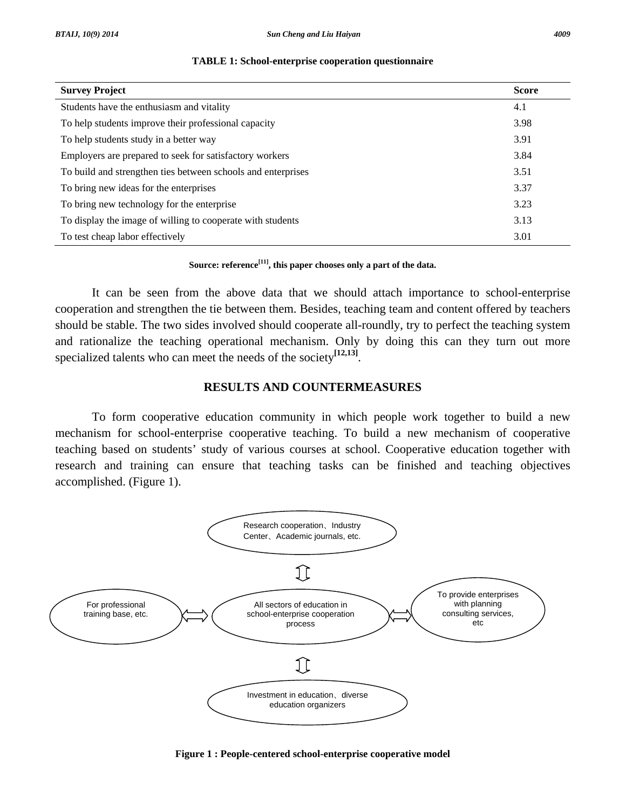| <b>Survey Project</b>                                        | <b>Score</b> |
|--------------------------------------------------------------|--------------|
| Students have the enthusiasm and vitality                    | 4.1          |
| To help students improve their professional capacity         | 3.98         |
| To help students study in a better way                       | 3.91         |
| Employers are prepared to seek for satisfactory workers      | 3.84         |
| To build and strengthen ties between schools and enterprises | 3.51         |
| To bring new ideas for the enterprises                       | 3.37         |
| To bring new technology for the enterprise                   | 3.23         |
| To display the image of willing to cooperate with students   | 3.13         |
| To test cheap labor effectively                              | 3.01         |

#### **TABLE 1: School-enterprise cooperation questionnaire**

**Source: reference[11], this paper chooses only a part of the data.** 

 It can be seen from the above data that we should attach importance to school-enterprise cooperation and strengthen the tie between them. Besides, teaching team and content offered by teachers should be stable. The two sides involved should cooperate all-roundly, try to perfect the teaching system and rationalize the teaching operational mechanism. Only by doing this can they turn out more specialized talents who can meet the needs of the society**[12,13]**.

#### **RESULTS AND COUNTERMEASURES**

 To form cooperative education community in which people work together to build a new mechanism for school-enterprise cooperative teaching. To build a new mechanism of cooperative teaching based on students' study of various courses at school. Cooperative education together with research and training can ensure that teaching tasks can be finished and teaching objectives accomplished. (Figure 1).



**Figure 1 : People-centered school-enterprise cooperative model**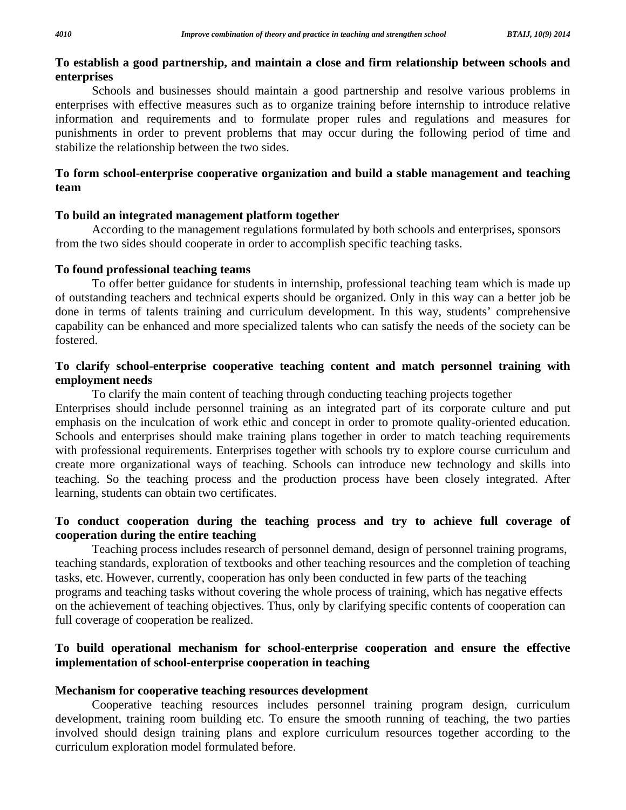# **To establish a good partnership, and maintain a close and firm relationship between schools and enterprises**

 Schools and businesses should maintain a good partnership and resolve various problems in enterprises with effective measures such as to organize training before internship to introduce relative information and requirements and to formulate proper rules and regulations and measures for punishments in order to prevent problems that may occur during the following period of time and stabilize the relationship between the two sides.

# **To form school-enterprise cooperative organization and build a stable management and teaching team**

#### **To build an integrated management platform together**

 According to the management regulations formulated by both schools and enterprises, sponsors from the two sides should cooperate in order to accomplish specific teaching tasks.

## **To found professional teaching teams**

 To offer better guidance for students in internship, professional teaching team which is made up of outstanding teachers and technical experts should be organized. Only in this way can a better job be done in terms of talents training and curriculum development. In this way, students' comprehensive capability can be enhanced and more specialized talents who can satisfy the needs of the society can be fostered.

# **To clarify school-enterprise cooperative teaching content and match personnel training with employment needs**

 To clarify the main content of teaching through conducting teaching projects together Enterprises should include personnel training as an integrated part of its corporate culture and put emphasis on the inculcation of work ethic and concept in order to promote quality-oriented education. Schools and enterprises should make training plans together in order to match teaching requirements with professional requirements. Enterprises together with schools try to explore course curriculum and create more organizational ways of teaching. Schools can introduce new technology and skills into teaching. So the teaching process and the production process have been closely integrated. After learning, students can obtain two certificates.

# **To conduct cooperation during the teaching process and try to achieve full coverage of cooperation during the entire teaching**

 Teaching process includes research of personnel demand, design of personnel training programs, teaching standards, exploration of textbooks and other teaching resources and the completion of teaching tasks, etc. However, currently, cooperation has only been conducted in few parts of the teaching programs and teaching tasks without covering the whole process of training, which has negative effects on the achievement of teaching objectives. Thus, only by clarifying specific contents of cooperation can full coverage of cooperation be realized.

# **To build operational mechanism for school-enterprise cooperation and ensure the effective implementation of school-enterprise cooperation in teaching**

#### **Mechanism for cooperative teaching resources development**

 Cooperative teaching resources includes personnel training program design, curriculum development, training room building etc. To ensure the smooth running of teaching, the two parties involved should design training plans and explore curriculum resources together according to the curriculum exploration model formulated before.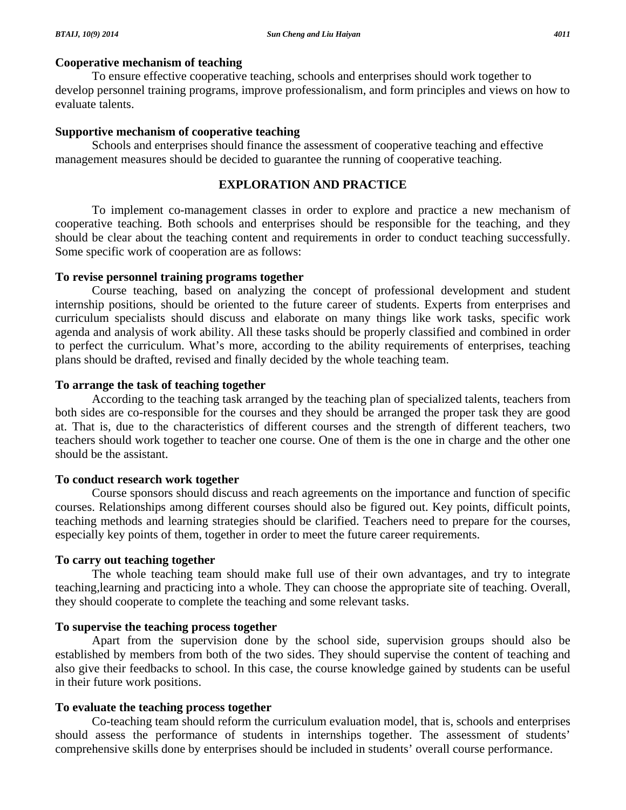#### **Cooperative mechanism of teaching**

 To ensure effective cooperative teaching, schools and enterprises should work together to develop personnel training programs, improve professionalism, and form principles and views on how to evaluate talents.

# **Supportive mechanism of cooperative teaching**

 Schools and enterprises should finance the assessment of cooperative teaching and effective management measures should be decided to guarantee the running of cooperative teaching.

# **EXPLORATION AND PRACTICE**

 To implement co-management classes in order to explore and practice a new mechanism of cooperative teaching. Both schools and enterprises should be responsible for the teaching, and they should be clear about the teaching content and requirements in order to conduct teaching successfully. Some specific work of cooperation are as follows:

### **To revise personnel training programs together**

 Course teaching, based on analyzing the concept of professional development and student internship positions, should be oriented to the future career of students. Experts from enterprises and curriculum specialists should discuss and elaborate on many things like work tasks, specific work agenda and analysis of work ability. All these tasks should be properly classified and combined in order to perfect the curriculum. What's more, according to the ability requirements of enterprises, teaching plans should be drafted, revised and finally decided by the whole teaching team.

# **To arrange the task of teaching together**

 According to the teaching task arranged by the teaching plan of specialized talents, teachers from both sides are co-responsible for the courses and they should be arranged the proper task they are good at. That is, due to the characteristics of different courses and the strength of different teachers, two teachers should work together to teacher one course. One of them is the one in charge and the other one should be the assistant.

# **To conduct research work together**

 Course sponsors should discuss and reach agreements on the importance and function of specific courses. Relationships among different courses should also be figured out. Key points, difficult points, teaching methods and learning strategies should be clarified. Teachers need to prepare for the courses, especially key points of them, together in order to meet the future career requirements.

# **To carry out teaching together**

 The whole teaching team should make full use of their own advantages, and try to integrate teaching,learning and practicing into a whole. They can choose the appropriate site of teaching. Overall, they should cooperate to complete the teaching and some relevant tasks.

# **To supervise the teaching process together**

 Apart from the supervision done by the school side, supervision groups should also be established by members from both of the two sides. They should supervise the content of teaching and also give their feedbacks to school. In this case, the course knowledge gained by students can be useful in their future work positions.

# **To evaluate the teaching process together**

 Co-teaching team should reform the curriculum evaluation model, that is, schools and enterprises should assess the performance of students in internships together. The assessment of students' comprehensive skills done by enterprises should be included in students' overall course performance.